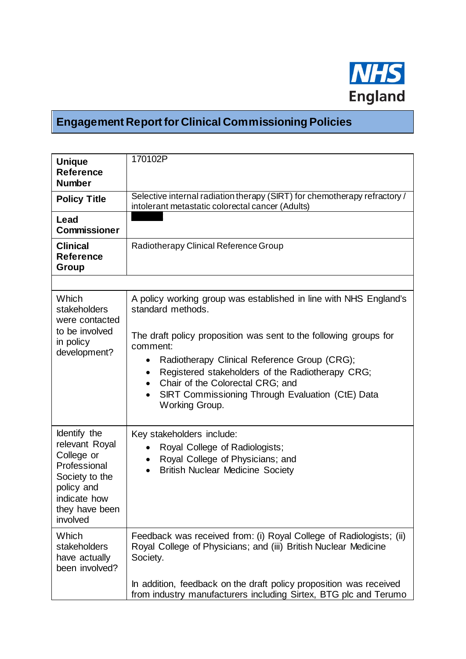

## **Engagement Report for Clinical Commissioning Policies**

| <b>Unique</b><br><b>Reference</b><br><b>Number</b>                                                                                         | 170102P                                                                                                                                                                                                                                                                                                  |
|--------------------------------------------------------------------------------------------------------------------------------------------|----------------------------------------------------------------------------------------------------------------------------------------------------------------------------------------------------------------------------------------------------------------------------------------------------------|
| <b>Policy Title</b>                                                                                                                        | Selective internal radiation therapy (SIRT) for chemotherapy refractory /<br>intolerant metastatic colorectal cancer (Adults)                                                                                                                                                                            |
| Lead<br><b>Commissioner</b>                                                                                                                |                                                                                                                                                                                                                                                                                                          |
| <b>Clinical</b><br><b>Reference</b><br>Group                                                                                               | Radiotherapy Clinical Reference Group                                                                                                                                                                                                                                                                    |
|                                                                                                                                            |                                                                                                                                                                                                                                                                                                          |
| Which<br>stakeholders<br>were contacted                                                                                                    | A policy working group was established in line with NHS England's<br>standard methods.                                                                                                                                                                                                                   |
| to be involved<br>in policy<br>development?                                                                                                | The draft policy proposition was sent to the following groups for<br>comment:<br>Radiotherapy Clinical Reference Group (CRG);<br>Registered stakeholders of the Radiotherapy CRG;<br>$\bullet$<br>Chair of the Colorectal CRG; and<br>SIRT Commissioning Through Evaluation (CtE) Data<br>Working Group. |
| Identify the<br>relevant Royal<br>College or<br>Professional<br>Society to the<br>policy and<br>indicate how<br>they have been<br>involved | Key stakeholders include:<br>Royal College of Radiologists;<br>Royal College of Physicians; and<br>$\bullet$<br><b>British Nuclear Medicine Society</b>                                                                                                                                                  |
| Which<br>stakeholders<br>have actually<br>been involved?                                                                                   | Feedback was received from: (i) Royal College of Radiologists; (ii)<br>Royal College of Physicians; and (iii) British Nuclear Medicine<br>Society.                                                                                                                                                       |
|                                                                                                                                            | In addition, feedback on the draft policy proposition was received<br>from industry manufacturers including Sirtex, BTG plc and Terumo                                                                                                                                                                   |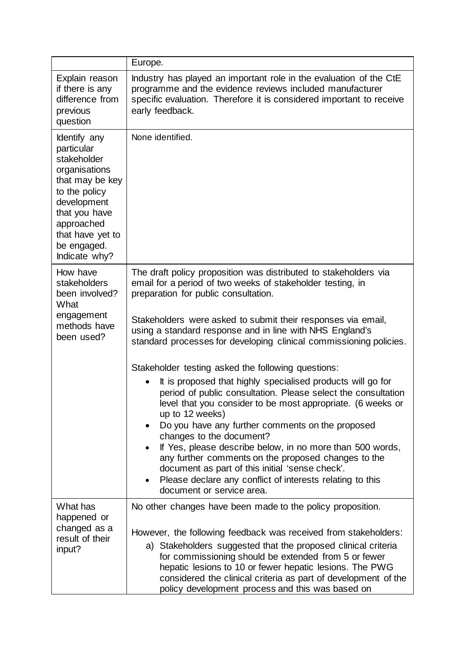|                                                                                                                                                                                                  | Europe.                                                                                                                                                                                                                          |
|--------------------------------------------------------------------------------------------------------------------------------------------------------------------------------------------------|----------------------------------------------------------------------------------------------------------------------------------------------------------------------------------------------------------------------------------|
| Explain reason<br>if there is any<br>difference from<br>previous<br>question                                                                                                                     | Industry has played an important role in the evaluation of the CtE<br>programme and the evidence reviews included manufacturer<br>specific evaluation. Therefore it is considered important to receive<br>early feedback.        |
| Identify any<br>particular<br>stakeholder<br>organisations<br>that may be key<br>to the policy<br>development<br>that you have<br>approached<br>that have yet to<br>be engaged.<br>Indicate why? | None identified.                                                                                                                                                                                                                 |
| How have<br>stakeholders<br>been involved?<br>What<br>engagement<br>methods have<br>been used?                                                                                                   | The draft policy proposition was distributed to stakeholders via<br>email for a period of two weeks of stakeholder testing, in<br>preparation for public consultation.                                                           |
|                                                                                                                                                                                                  | Stakeholders were asked to submit their responses via email,<br>using a standard response and in line with NHS England's<br>standard processes for developing clinical commissioning policies.                                   |
|                                                                                                                                                                                                  | Stakeholder testing asked the following questions:                                                                                                                                                                               |
|                                                                                                                                                                                                  | It is proposed that highly specialised products will go for<br>period of public consultation. Please select the consultation<br>level that you consider to be most appropriate. (6 weeks or<br>up to 12 weeks)                   |
|                                                                                                                                                                                                  | Do you have any further comments on the proposed<br>changes to the document?                                                                                                                                                     |
|                                                                                                                                                                                                  | If Yes, please describe below, in no more than 500 words,<br>any further comments on the proposed changes to the<br>document as part of this initial 'sense check'.<br>Please declare any conflict of interests relating to this |
|                                                                                                                                                                                                  | document or service area.                                                                                                                                                                                                        |
| What has<br>happened or                                                                                                                                                                          | No other changes have been made to the policy proposition.                                                                                                                                                                       |
| changed as a                                                                                                                                                                                     | However, the following feedback was received from stakeholders:                                                                                                                                                                  |
| result of their<br>input?                                                                                                                                                                        | a) Stakeholders suggested that the proposed clinical criteria                                                                                                                                                                    |
|                                                                                                                                                                                                  | for commissioning should be extended from 5 or fewer<br>hepatic lesions to 10 or fewer hepatic lesions. The PWG<br>considered the clinical criteria as part of development of the                                                |
|                                                                                                                                                                                                  | policy development process and this was based on                                                                                                                                                                                 |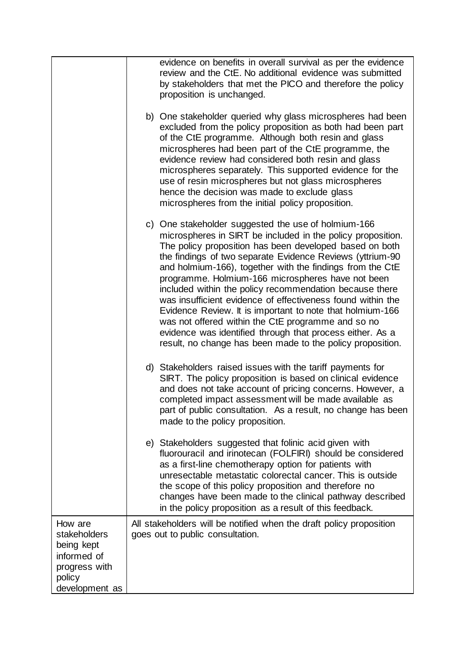|                                                                                                   | evidence on benefits in overall survival as per the evidence<br>review and the CtE. No additional evidence was submitted<br>by stakeholders that met the PICO and therefore the policy<br>proposition is unchanged.                                                                                                                                                                                                                                                                                                                                                                                                                                                                                                                   |
|---------------------------------------------------------------------------------------------------|---------------------------------------------------------------------------------------------------------------------------------------------------------------------------------------------------------------------------------------------------------------------------------------------------------------------------------------------------------------------------------------------------------------------------------------------------------------------------------------------------------------------------------------------------------------------------------------------------------------------------------------------------------------------------------------------------------------------------------------|
|                                                                                                   | b) One stakeholder queried why glass microspheres had been<br>excluded from the policy proposition as both had been part<br>of the CtE programme. Although both resin and glass<br>microspheres had been part of the CtE programme, the<br>evidence review had considered both resin and glass<br>microspheres separately. This supported evidence for the<br>use of resin microspheres but not glass microspheres<br>hence the decision was made to exclude glass<br>microspheres from the initial policy proposition.                                                                                                                                                                                                               |
|                                                                                                   | c) One stakeholder suggested the use of holmium-166<br>microspheres in SIRT be included in the policy proposition.<br>The policy proposition has been developed based on both<br>the findings of two separate Evidence Reviews (yttrium-90)<br>and holmium-166), together with the findings from the CtE<br>programme. Holmium-166 microspheres have not been<br>included within the policy recommendation because there<br>was insufficient evidence of effectiveness found within the<br>Evidence Review. It is important to note that holmium-166<br>was not offered within the CtE programme and so no<br>evidence was identified through that process either. As a<br>result, no change has been made to the policy proposition. |
|                                                                                                   | d) Stakeholders raised issues with the tariff payments for<br>SIRT. The policy proposition is based on clinical evidence<br>and does not take account of pricing concerns. However, a<br>completed impact assessment will be made available as<br>part of public consultation. As a result, no change has been<br>made to the policy proposition.                                                                                                                                                                                                                                                                                                                                                                                     |
|                                                                                                   | e) Stakeholders suggested that folinic acid given with<br>fluorouracil and irinotecan (FOLFIRI) should be considered<br>as a first-line chemotherapy option for patients with<br>unresectable metastatic colorectal cancer. This is outside<br>the scope of this policy proposition and therefore no<br>changes have been made to the clinical pathway described<br>in the policy proposition as a result of this feedback.                                                                                                                                                                                                                                                                                                           |
| How are<br>stakeholders<br>being kept<br>informed of<br>progress with<br>policy<br>development as | All stakeholders will be notified when the draft policy proposition<br>goes out to public consultation.                                                                                                                                                                                                                                                                                                                                                                                                                                                                                                                                                                                                                               |